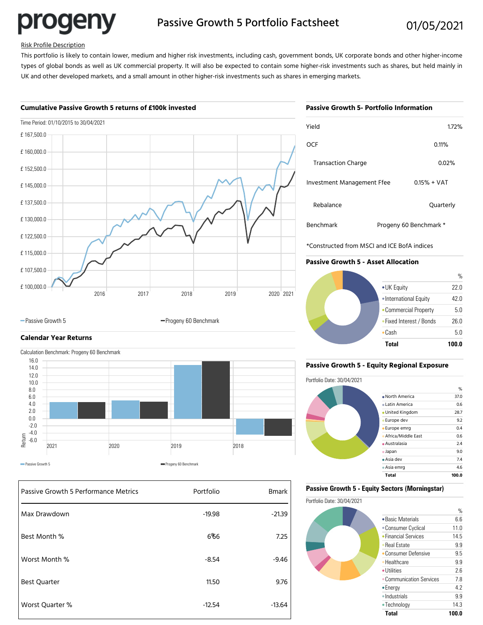

# Passive Growth 5 Portfolio Factsheet 01/05/2021

#### Risk Profile Description

This portfolio is likely to contain lower, medium and higher risk investments, including cash, government bonds, UK corporate bonds and other higher-income types of global bonds as well as UK commercial property. It will also be expected to contain some higher-risk investments such as shares, but held mainly in UK and other developed markets, and a small amount in other higher-risk investments such as shares in emerging markets.

#### **Cumulative Passive Growth 5 returns of £100k invested**



-Passive Growth 5 Progeny 60 Benchmark

### **Calendar Year Returns**

Calculation Benchmark: Progeny 60 Benchmark



| Passive Growth 5 Performance Metrics | Portfolio | <b>Bmark</b> |
|--------------------------------------|-----------|--------------|
| Max Drawdown                         | $-19.98$  | $-21.39$     |
| Best Month %                         | 6%6       | 7.25         |
| Worst Month %                        | $-8.54$   | $-9.46$      |
| <b>Best Quarter</b>                  | 11.50     | 9.76         |
| Worst Quarter %                      | $-12.54$  | $-13.64$     |

| Passive Growth 5- Portfolio Information |               |  |  |  |
|-----------------------------------------|---------------|--|--|--|
| Yield                                   | 1.72%         |  |  |  |
| <b>OCF</b>                              | 0.11%         |  |  |  |
| <b>Transaction Charge</b>               | 0.02%         |  |  |  |
| Investment Management Ffee              | $0.15% + VAT$ |  |  |  |

| <b>Hansdenon</b> charge    | <u>u.uz n</u>          |
|----------------------------|------------------------|
| Investment Management Ffee | $0.15% + VAT$          |
| Rebalance                  | Quarterly              |
| Benchmark                  | Progeny 60 Benchmark * |

\*Constructed from MSCI and ICE BofA indices

#### **Passive Growth 5 - Asset Allocation**



#### **Passive Growth 5 - Equity Regional Exposure**



#### **Passive Growth 5 - Equity Sectors (Morningstar)**